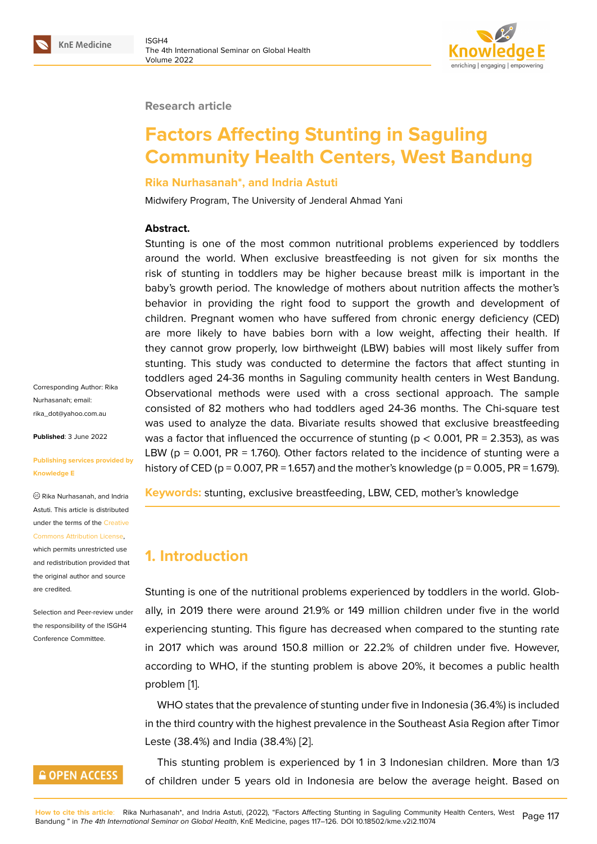### **Research article**

# **Factors Affecting Stunting in Saguling Community Health Centers, West Bandung**

### **Rika Nurhasanah\*, and Indria Astuti**

Midwifery Program, The University of Jenderal Ahmad Yani

### **Abstract.**

Stunting is one of the most common nutritional problems experienced by toddlers around the world. When exclusive breastfeeding is not given for six months the risk of stunting in toddlers may be higher because breast milk is important in the baby's growth period. The knowledge of mothers about nutrition affects the mother's behavior in providing the right food to support the growth and development of children. Pregnant women who have suffered from chronic energy deficiency (CED) are more likely to have babies born with a low weight, affecting their health. If they cannot grow properly, low birthweight (LBW) babies will most likely suffer from stunting. This study was conducted to determine the factors that affect stunting in toddlers aged 24-36 months in Saguling community health centers in West Bandung. Observational methods were used with a cross sectional approach. The sample consisted of 82 mothers who had toddlers aged 24-36 months. The Chi-square test was used to analyze the data. Bivariate results showed that exclusive breastfeeding was a factor that influenced the occurrence of stunting ( $p < 0.001$ , PR = 2.353), as was LBW ( $p = 0.001$ , PR = 1.760). Other factors related to the incidence of stunting were a history of CED ( $p = 0.007$ , PR = 1.657) and the mother's knowledge ( $p = 0.005$ , PR = 1.679).

**Keywords:** stunting, exclusive breastfeeding, LBW, CED, mother's knowledge

# **1. Introduction**

Stunting is one of the nutritional problems experienced by toddlers in the world. Globally, in 2019 there were around 21.9% or 149 million children under five in the world experiencing stunting. This figure has decreased when compared to the stunting rate in 2017 which was around 150.8 million or 22.2% of children under five. However, according to WHO, if the stunting problem is above 20%, it becomes a public health problem [1].

WHO states that the prevalence of stunting under five in Indonesia (36.4%) is included in the third country with the highest prevalence in the Southeast Asia Region after Timor Leste (38[.4](#page-8-0)%) and India (38.4%) [2].

This stunting problem is experienced by 1 in 3 Indonesian children. More than 1/3 of children under 5 years old i[n I](#page-8-1)ndonesia are below the average height. Based on

Corresponding Author: Rika Nurhasanah; email: rika\_dot@yahoo.com.au

**Published**: 3 June 2022

#### **[Publishing services pro](mailto:rika_dot@yahoo.com.au)vided by Knowledge E**

Rika Nurhasanah, and Indria Astuti. This article is distributed under the terms of the Creative Commons Attribution License,

which permits unrestricted use and redistribution provided that the original author and [source](https://creativecommons.org/licenses/by/4.0/) [are credited.](https://creativecommons.org/licenses/by/4.0/)

Selection and Peer-review under the responsibility of the ISGH4 Conference Committee.

## **GOPEN ACCESS**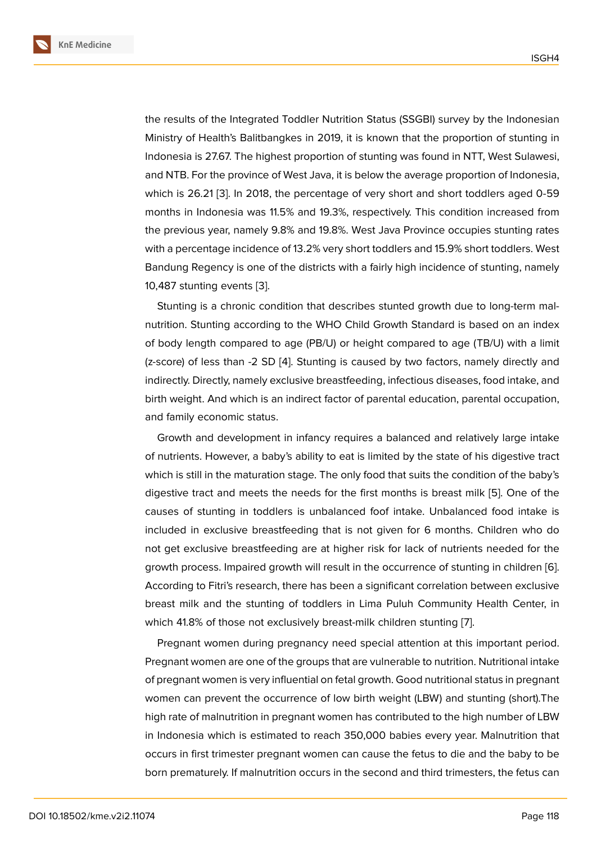the results of the Integrated Toddler Nutrition Status (SSGBI) survey by the Indonesian Ministry of Health's Balitbangkes in 2019, it is known that the proportion of stunting in Indonesia is 27.67. The highest proportion of stunting was found in NTT, West Sulawesi, and NTB. For the province of West Java, it is below the average proportion of Indonesia, which is 26.21 [3]. In 2018, the percentage of very short and short toddlers aged 0-59 months in Indonesia was 11.5% and 19.3%, respectively. This condition increased from the previous year, namely 9.8% and 19.8%. West Java Province occupies stunting rates with a percenta[ge](#page-8-2) incidence of 13.2% very short toddlers and 15.9% short toddlers. West Bandung Regency is one of the districts with a fairly high incidence of stunting, namely 10,487 stunting events [3].

Stunting is a chronic condition that describes stunted growth due to long-term malnutrition. Stunting according to the WHO Child Growth Standard is based on an index of body length compar[ed](#page-8-2) to age (PB/U) or height compared to age (TB/U) with a limit (z-score) of less than -2 SD [4]. Stunting is caused by two factors, namely directly and indirectly. Directly, namely exclusive breastfeeding, infectious diseases, food intake, and birth weight. And which is an indirect factor of parental education, parental occupation, and family economic status.

Growth and development in infancy requires a balanced and relatively large intake of nutrients. However, a baby's ability to eat is limited by the state of his digestive tract which is still in the maturation stage. The only food that suits the condition of the baby's digestive tract and meets the needs for the first months is breast milk [5]. One of the causes of stunting in toddlers is unbalanced foof intake. Unbalanced food intake is included in exclusive breastfeeding that is not given for 6 months. Children who do not get exclusive breastfeeding are at higher risk for lack of nutrients [ne](#page-8-3)eded for the growth process. Impaired growth will result in the occurrence of stunting in children [6]. According to Fitri's research, there has been a significant correlation between exclusive breast milk and the stunting of toddlers in Lima Puluh Community Health Center, in which 41.8% of those not exclusively breast-milk children stunting [7].

Pregnant women during pregnancy need special attention at this important period. Pregnant women are one of the groups that are vulnerable to nutrition. Nutritional intake of pregnant women is very influential on fetal growth. Good nutritio[na](#page-9-0)l status in pregnant women can prevent the occurrence of low birth weight (LBW) and stunting (short).The high rate of malnutrition in pregnant women has contributed to the high number of LBW in Indonesia which is estimated to reach 350,000 babies every year. Malnutrition that occurs in first trimester pregnant women can cause the fetus to die and the baby to be born prematurely. If malnutrition occurs in the second and third trimesters, the fetus can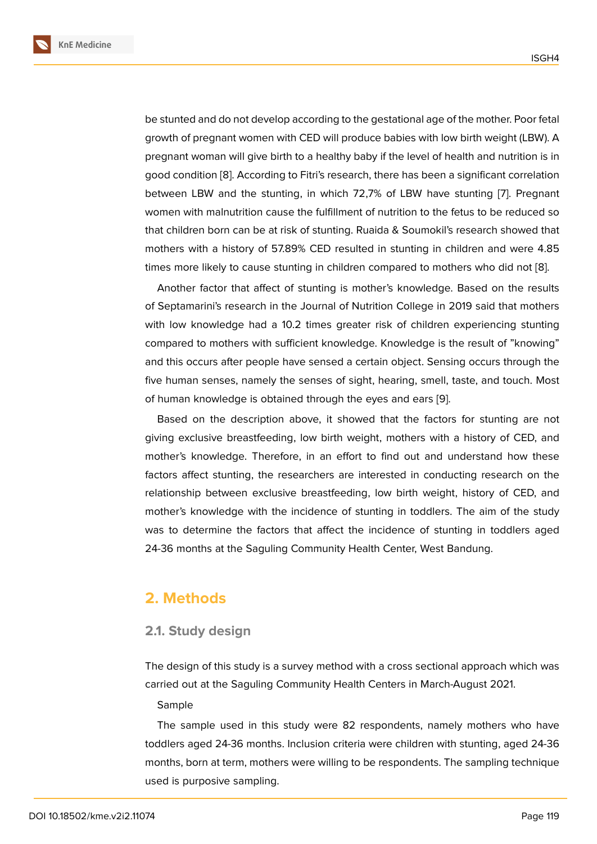be stunted and do not develop according to the gestational age of the mother. Poor fetal growth of pregnant women with CED will produce babies with low birth weight (LBW). A pregnant woman will give birth to a healthy baby if the level of health and nutrition is in good condition [8]. According to Fitri's research, there has been a significant correlation between LBW and the stunting, in which 72,7% of LBW have stunting [7]. Pregnant women with malnutrition cause the fulfillment of nutrition to the fetus to be reduced so that children bo[rn](#page-9-1) can be at risk of stunting. Ruaida & Soumokil's research showed that mothers with a history of 57.89% CED resulted in stunting in children an[d](#page-9-0) were 4.85 times more likely to cause stunting in children compared to mothers who did not [8].

Another factor that affect of stunting is mother's knowledge. Based on the results of Septamarini's research in the Journal of Nutrition College in 2019 said that mothers with low knowledge had a 10.2 times greater risk of children experiencing stu[nt](#page-9-1)ing compared to mothers with sufficient knowledge. Knowledge is the result of "knowing" and this occurs after people have sensed a certain object. Sensing occurs through the five human senses, namely the senses of sight, hearing, smell, taste, and touch. Most of human knowledge is obtained through the eyes and ears [9].

Based on the description above, it showed that the factors for stunting are not giving exclusive breastfeeding, low birth weight, mothers with a history of CED, and mother's knowledge. Therefore, in an effort to find out an[d](#page-9-2) understand how these factors affect stunting, the researchers are interested in conducting research on the relationship between exclusive breastfeeding, low birth weight, history of CED, and mother's knowledge with the incidence of stunting in toddlers. The aim of the study was to determine the factors that affect the incidence of stunting in toddlers aged 24-36 months at the Saguling Community Health Center, West Bandung.

### **2. Methods**

### **2.1. Study design**

The design of this study is a survey method with a cross sectional approach which was carried out at the Saguling Community Health Centers in March-August 2021.

#### Sample

The sample used in this study were 82 respondents, namely mothers who have toddlers aged 24-36 months. Inclusion criteria were children with stunting, aged 24-36 months, born at term, mothers were willing to be respondents. The sampling technique used is purposive sampling.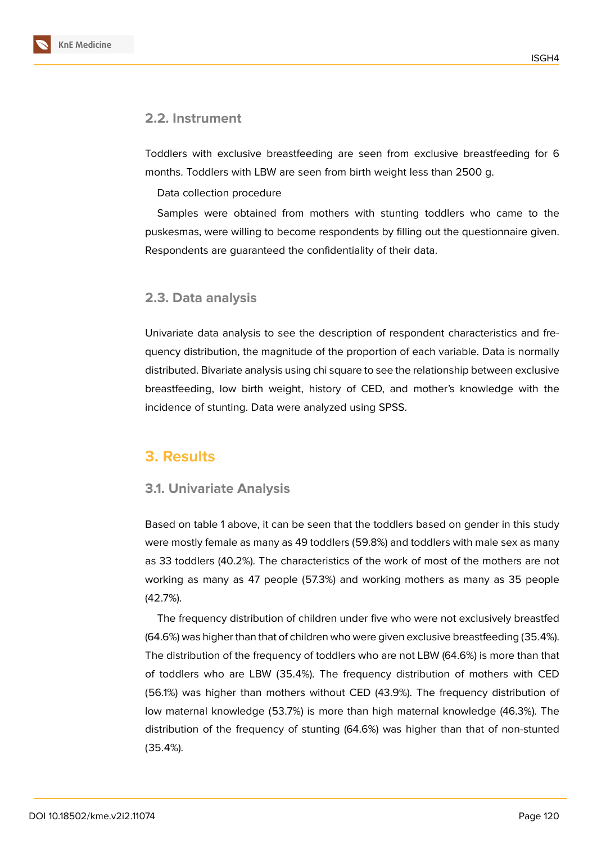

Toddlers with exclusive breastfeeding are seen from exclusive breastfeeding for 6 months. Toddlers with LBW are seen from birth weight less than 2500 g.

Data collection procedure

Samples were obtained from mothers with stunting toddlers who came to the puskesmas, were willing to become respondents by filling out the questionnaire given. Respondents are guaranteed the confidentiality of their data.

### **2.3. Data analysis**

Univariate data analysis to see the description of respondent characteristics and frequency distribution, the magnitude of the proportion of each variable. Data is normally distributed. Bivariate analysis using chi square to see the relationship between exclusive breastfeeding, low birth weight, history of CED, and mother's knowledge with the incidence of stunting. Data were analyzed using SPSS.

# **3. Results**

#### **3.1. Univariate Analysis**

Based on table 1 above, it can be seen that the toddlers based on gender in this study were mostly female as many as 49 toddlers (59.8%) and toddlers with male sex as many as 33 toddlers (40.2%). The characteristics of the work of most of the mothers are not working as many as 47 people (57.3%) and working mothers as many as 35 people (42.7%).

The frequency distribution of children under five who were not exclusively breastfed (64.6%) was higher than that of children who were given exclusive breastfeeding (35.4%). The distribution of the frequency of toddlers who are not LBW (64.6%) is more than that of toddlers who are LBW (35.4%). The frequency distribution of mothers with CED (56.1%) was higher than mothers without CED (43.9%). The frequency distribution of low maternal knowledge (53.7%) is more than high maternal knowledge (46.3%). The distribution of the frequency of stunting (64.6%) was higher than that of non-stunted (35.4%).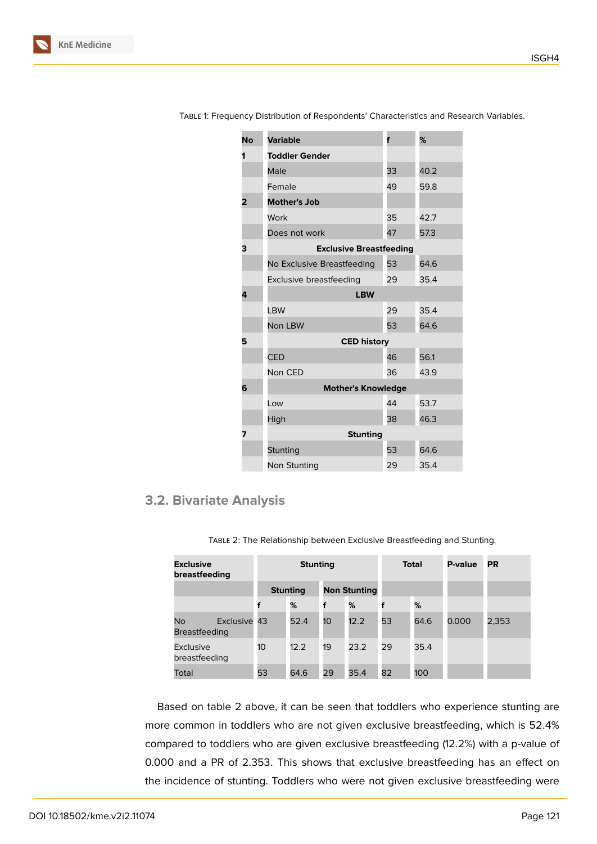| <b>No</b> | <b>Variable</b>                | f                  | %    |  |  |  |  |  |  |  |
|-----------|--------------------------------|--------------------|------|--|--|--|--|--|--|--|
| 1         | <b>Toddler Gender</b>          |                    |      |  |  |  |  |  |  |  |
|           | Male                           | 33                 | 40.2 |  |  |  |  |  |  |  |
|           | Female                         | 49                 | 59.8 |  |  |  |  |  |  |  |
| 2         | <b>Mother's Job</b>            |                    |      |  |  |  |  |  |  |  |
|           | Work                           | 35                 | 42.7 |  |  |  |  |  |  |  |
|           | Does not work                  | 47                 | 57.3 |  |  |  |  |  |  |  |
| 3         | <b>Exclusive Breastfeeding</b> |                    |      |  |  |  |  |  |  |  |
|           | No Exclusive Breastfeeding     | 53                 | 64.6 |  |  |  |  |  |  |  |
|           | Exclusive breastfeeding        | 29                 | 35.4 |  |  |  |  |  |  |  |
| 4         | <b>LBW</b>                     |                    |      |  |  |  |  |  |  |  |
|           | <b>LBW</b>                     | 29                 | 35.4 |  |  |  |  |  |  |  |
|           | Non LBW                        | 53                 | 64.6 |  |  |  |  |  |  |  |
| 5         |                                | <b>CED history</b> |      |  |  |  |  |  |  |  |
|           | <b>CED</b>                     | 46                 | 56.1 |  |  |  |  |  |  |  |
|           | Non CED                        | 36                 | 43.9 |  |  |  |  |  |  |  |
| 6         | <b>Mother's Knowledge</b>      |                    |      |  |  |  |  |  |  |  |
|           | Low                            | 44                 | 53.7 |  |  |  |  |  |  |  |
|           | High                           | 38                 | 46.3 |  |  |  |  |  |  |  |
| 7         |                                | <b>Stunting</b>    |      |  |  |  |  |  |  |  |
|           | Stunting                       | 53                 | 64.6 |  |  |  |  |  |  |  |
|           | Non Stunting                   | 29                 | 35.4 |  |  |  |  |  |  |  |

Table 1: Frequency Distribution of Respondents' Characteristics and Research Variables.

### **3.2. Bivariate Analysis**

Table 2: The Relationship between Exclusive Breastfeeding and Stunting.

| <b>Exclusive</b><br>breastfeeding                 | <b>Stunting</b> |      |                     |      | <b>Total</b> |      | P-value | <b>PR</b> |
|---------------------------------------------------|-----------------|------|---------------------|------|--------------|------|---------|-----------|
|                                                   | <b>Stunting</b> |      | <b>Non Stunting</b> |      |              |      |         |           |
|                                                   |                 | %    | f                   | %    | f            | %    |         |           |
| Exclusive 43<br><b>No</b><br><b>Breastfeeding</b> |                 | 52.4 | 10                  | 12.2 | 53           | 64.6 | 0.000   | 2,353     |
| <b>Exclusive</b><br>breastfeeding                 | 10              | 12.2 | 19                  | 23.2 | 29           | 35.4 |         |           |
| Total                                             | 53              | 64.6 | 29                  | 35.4 | 82           | 100  |         |           |

Based on table 2 above, it can be seen that toddlers who experience stunting are more common in toddlers who are not given exclusive breastfeeding, which is 52.4% compared to toddlers who are given exclusive breastfeeding (12.2%) with a p-value of 0.000 and a PR of 2.353. This shows that exclusive breastfeeding has an effect on the incidence of stunting. Toddlers who were not given exclusive breastfeeding were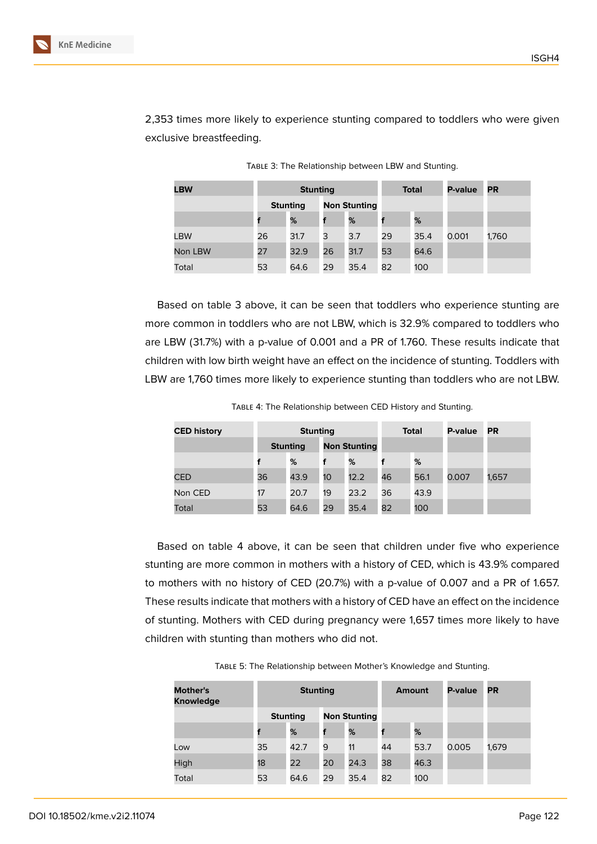| <b>LBW</b> |    | <b>Stunting</b> |    |                     |    | <b>Total</b> |       | <b>PR</b> |  |
|------------|----|-----------------|----|---------------------|----|--------------|-------|-----------|--|
|            |    | <b>Stunting</b> |    | <b>Non Stunting</b> |    |              |       |           |  |
|            |    | %               |    | %                   |    | %            |       |           |  |
| <b>LBW</b> | 26 | 31.7            | 3  | 3.7                 | 29 | 35.4         | 0.001 | 1,760     |  |
| Non LBW    | 27 | 32.9            | 26 | 31.7                | 53 | 64.6         |       |           |  |
| Total      | 53 | 64.6            | 29 | 35.4                | 82 | 100          |       |           |  |

2,353 times more likely to experience stunting compared to toddlers who were given exclusive breastfeeding.

Table 3: The Relationship between LBW and Stunting.

Based on table 3 above, it can be seen that toddlers who experience stunting are more common in toddlers who are not LBW, which is 32.9% compared to toddlers who are LBW (31.7%) with a p-value of 0.001 and a PR of 1.760. These results indicate that children with low birth weight have an effect on the incidence of stunting. Toddlers with LBW are 1,760 times more likely to experience stunting than toddlers who are not LBW.

**CED history Stunting Total P-value PR Stunting Non Stunting f % f % f %** CED 36 43.9 10 12.2 46 56.1 0.007 1,657 Non CED 17 20.7 19 23.2 36 43.9 Total 53 64.6 29 35.4 82 100

Table 4: The Relationship between CED History and Stunting.

Based on table 4 above, it can be seen that children under five who experience stunting are more common in mothers with a history of CED, which is 43.9% compared to mothers with no history of CED (20.7%) with a p-value of 0.007 and a PR of 1.657. These results indicate that mothers with a history of CED have an effect on the incidence of stunting. Mothers with CED during pregnancy were 1,657 times more likely to have children with stunting than mothers who did not.

| Mother's<br><b>Knowledge</b> | <b>Stunting</b> |      |                     |      | Amount |      | <b>P-value</b> | <b>PR</b> |
|------------------------------|-----------------|------|---------------------|------|--------|------|----------------|-----------|
|                              | <b>Stunting</b> |      | <b>Non Stunting</b> |      |        |      |                |           |
|                              |                 | %    | f                   | %    |        | %    |                |           |
| Low                          | 35              | 42.7 | 9                   | 11   | 44     | 53.7 | 0.005          | 1,679     |
| High                         | 18              | 22   | 20                  | 24.3 | 38     | 46.3 |                |           |
| Total                        | 53              | 64.6 | 29                  | 35.4 | 82     | 100  |                |           |

Table 5: The Relationship between Mother's Knowledge and Stunting.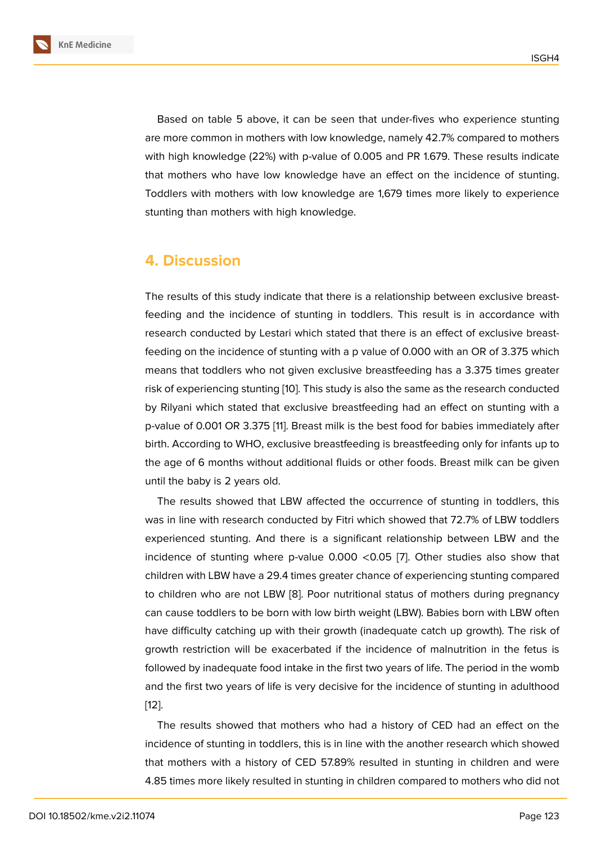Based on table 5 above, it can be seen that under-fives who experience stunting are more common in mothers with low knowledge, namely 42.7% compared to mothers with high knowledge (22%) with p-value of 0.005 and PR 1.679. These results indicate that mothers who have low knowledge have an effect on the incidence of stunting. Toddlers with mothers with low knowledge are 1,679 times more likely to experience stunting than mothers with high knowledge.

## **4. Discussion**

The results of this study indicate that there is a relationship between exclusive breastfeeding and the incidence of stunting in toddlers. This result is in accordance with research conducted by Lestari which stated that there is an effect of exclusive breastfeeding on the incidence of stunting with a p value of 0.000 with an OR of 3.375 which means that toddlers who not given exclusive breastfeeding has a 3.375 times greater risk of experiencing stunting [10]. This study is also the same as the research conducted by Rilyani which stated that exclusive breastfeeding had an effect on stunting with a p-value of 0.001 OR 3.375 [11]. Breast milk is the best food for babies immediately after birth. According to WHO, exc[lus](#page-9-3)ive breastfeeding is breastfeeding only for infants up to the age of 6 months without additional fluids or other foods. Breast milk can be given until the baby is 2 years ol[d.](#page-9-4)

The results showed that LBW affected the occurrence of stunting in toddlers, this was in line with research conducted by Fitri which showed that 72.7% of LBW toddlers experienced stunting. And there is a significant relationship between LBW and the incidence of stunting where p-value 0.000 <0.05 [7]. Other studies also show that children with LBW have a 29.4 times greater chance of experiencing stunting compared to children who are not LBW [8]. Poor nutritional status of mothers during pregnancy can cause toddlers to be born with low birth weight ([LB](#page-9-0)W). Babies born with LBW often have difficulty catching up with their growth (inadequate catch up growth). The risk of growth restriction will be exa[ce](#page-9-1)rbated if the incidence of malnutrition in the fetus is followed by inadequate food intake in the first two years of life. The period in the womb and the first two years of life is very decisive for the incidence of stunting in adulthood [12].

The results showed that mothers who had a history of CED had an effect on the incidence of stunting in toddlers, this is in line with the another research which showed [tha](#page-9-5)t mothers with a history of CED 57.89% resulted in stunting in children and were 4.85 times more likely resulted in stunting in children compared to mothers who did not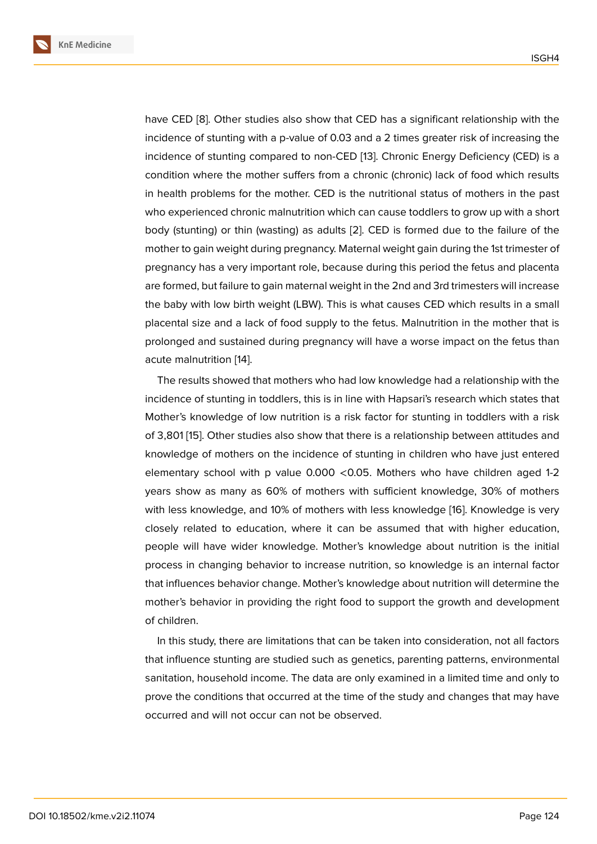have CED [8]. Other studies also show that CED has a significant relationship with the incidence of stunting with a p-value of 0.03 and a 2 times greater risk of increasing the incidence of stunting compared to non-CED [13]. Chronic Energy Deficiency (CED) is a condition [wh](#page-9-1)ere the mother suffers from a chronic (chronic) lack of food which results in health problems for the mother. CED is the nutritional status of mothers in the past who experienced chronic malnutrition which c[an](#page-9-6) cause toddlers to grow up with a short body (stunting) or thin (wasting) as adults [2]. CED is formed due to the failure of the mother to gain weight during pregnancy. Maternal weight gain during the 1st trimester of pregnancy has a very important role, because during this period the fetus and placenta are formed, but failure to gain maternal weig[ht](#page-8-1) in the 2nd and 3rd trimesters will increase the baby with low birth weight (LBW). This is what causes CED which results in a small placental size and a lack of food supply to the fetus. Malnutrition in the mother that is prolonged and sustained during pregnancy will have a worse impact on the fetus than acute malnutrition [14].

The results showed that mothers who had low knowledge had a relationship with the incidence of stunting in toddlers, this is in line with Hapsari's research which states that Mother's knowledg[e o](#page-9-7)f low nutrition is a risk factor for stunting in toddlers with a risk of 3,801 [15]. Other studies also show that there is a relationship between attitudes and knowledge of mothers on the incidence of stunting in children who have just entered elementary school with p value 0.000 <0.05. Mothers who have children aged 1-2 years sh[ow](#page-9-8) as many as 60% of mothers with sufficient knowledge, 30% of mothers with less knowledge, and 10% of mothers with less knowledge [16]. Knowledge is very closely related to education, where it can be assumed that with higher education, people will have wider knowledge. Mother's knowledge about nutrition is the initial process in changing behavior to increase nutrition, so knowled[ge](#page-9-9) is an internal factor that influences behavior change. Mother's knowledge about nutrition will determine the mother's behavior in providing the right food to support the growth and development of children.

In this study, there are limitations that can be taken into consideration, not all factors that influence stunting are studied such as genetics, parenting patterns, environmental sanitation, household income. The data are only examined in a limited time and only to prove the conditions that occurred at the time of the study and changes that may have occurred and will not occur can not be observed.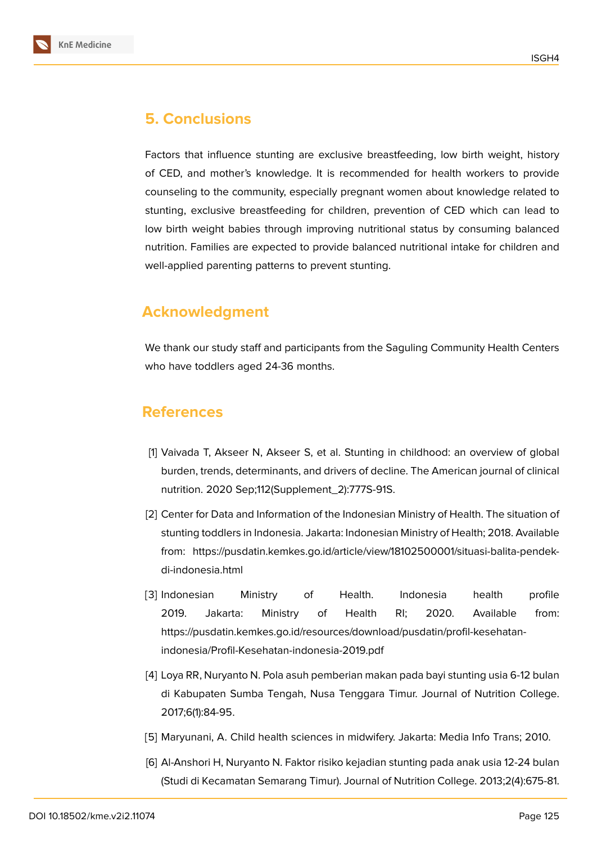

# **5. Conclusions**

Factors that influence stunting are exclusive breastfeeding, low birth weight, history of CED, and mother's knowledge. It is recommended for health workers to provide counseling to the community, especially pregnant women about knowledge related to stunting, exclusive breastfeeding for children, prevention of CED which can lead to low birth weight babies through improving nutritional status by consuming balanced nutrition. Families are expected to provide balanced nutritional intake for children and well-applied parenting patterns to prevent stunting.

# **Acknowledgment**

We thank our study staff and participants from the Saguling Community Health Centers who have toddlers aged 24-36 months.

# **References**

- <span id="page-8-0"></span>[1] Vaivada T, Akseer N, Akseer S, et al. Stunting in childhood: an overview of global burden, trends, determinants, and drivers of decline. The American journal of clinical nutrition. 2020 Sep;112(Supplement\_2):777S-91S.
- <span id="page-8-1"></span>[2] Center for Data and Information of the Indonesian Ministry of Health. The situation of stunting toddlers in Indonesia. Jakarta: Indonesian Ministry of Health; 2018. Available from: https://pusdatin.kemkes.go.id/article/view/18102500001/situasi-balita-pendekdi-indonesia.html
- <span id="page-8-2"></span>[3] Indonesian Ministry of Health. Indonesia health profile 2019. Jakarta: Ministry of Health RI; 2020. Available from: https://pusdatin.kemkes.go.id/resources/download/pusdatin/profil-kesehatanindonesia/Profil-Kesehatan-indonesia-2019.pdf
- [4] Loya RR, Nuryanto N. Pola asuh pemberian makan pada bayi stunting usia 6-12 bulan di Kabupaten Sumba Tengah, Nusa Tenggara Timur. Journal of Nutrition College. 2017;6(1):84-95.
- <span id="page-8-3"></span>[5] Maryunani, A. Child health sciences in midwifery. Jakarta: Media Info Trans; 2010.
- [6] Al-Anshori H, Nuryanto N. Faktor risiko kejadian stunting pada anak usia 12-24 bulan (Studi di Kecamatan Semarang Timur). Journal of Nutrition College. 2013;2(4):675-81.